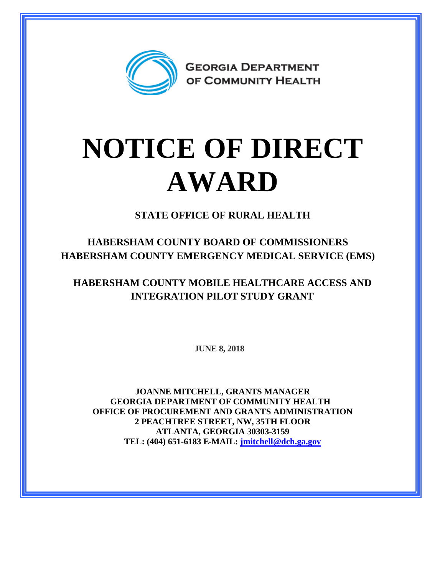

## **NOTICE OF DIRECT AWARD**

**STATE OFFICE OF RURAL HEALTH**

**HABERSHAM COUNTY BOARD OF COMMISSIONERS HABERSHAM COUNTY EMERGENCY MEDICAL SERVICE (EMS)**

**HABERSHAM COUNTY MOBILE HEALTHCARE ACCESS AND INTEGRATION PILOT STUDY GRANT**

**JUNE 8, 2018**

**JOANNE MITCHELL, GRANTS MANAGER GEORGIA DEPARTMENT OF COMMUNITY HEALTH OFFICE OF PROCUREMENT AND GRANTS ADMINISTRATION 2 PEACHTREE STREET, NW, 35TH FLOOR ATLANTA, GEORGIA 30303-3159 TEL: (404) 651-6183 E-MAIL: [jmitchell@dch.ga.gov](mailto:jmitchell@dch.ga.gov)**